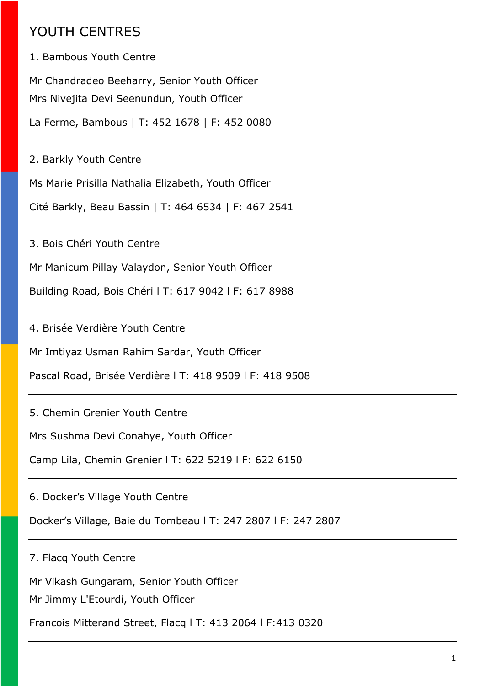## YOUTH CENTRES

1. Bambous Youth Centre

Mr Chandradeo Beeharry, Senior Youth Officer Mrs Nivejita Devi Seenundun, Youth Officer

La Ferme, Bambous | T: 452 1678 | F: 452 0080

2. Barkly Youth Centre

Ms Marie Prisilla Nathalia Elizabeth, Youth Officer

Cité Barkly, Beau Bassin | T: 464 6534 | F: 467 2541

3. Bois Chéri Youth Centre

Mr Manicum Pillay Valaydon, Senior Youth Officer

Building Road, Bois Chéri l T: 617 9042 l F: 617 8988

4. Brisée Verdière Youth Centre

Mr Imtiyaz Usman Rahim Sardar, Youth Officer

Pascal Road, Brisée Verdière l T: 418 9509 l F: 418 9508

5. Chemin Grenier Youth Centre

Mrs Sushma Devi Conahye, Youth Officer

Camp Lila, Chemin Grenier l T: 622 5219 l F: 622 6150

6. Docker's Village Youth Centre

Docker's Village, Baie du Tombeau l T: 247 2807 l F: 247 2807

7. Flacq Youth Centre

Mr Vikash Gungaram, Senior Youth Officer

Mr Jimmy L'Etourdi, Youth Officer

Francois Mitterand Street, Flacq l T: 413 2064 l F:413 0320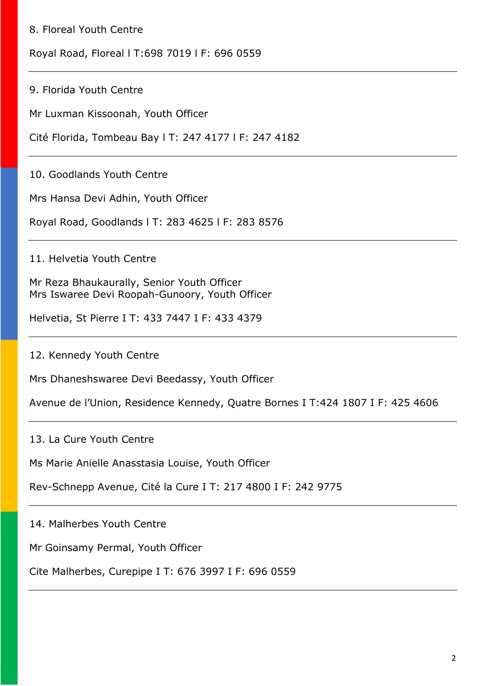## 8. Floreal Youth Centre

Royal Road, Floreal l T:698 7019 l F: 696 0559

9. Florida Youth Centre

Mr Luxman Kissoonah, Youth Officer

Cité Florida, Tombeau Bay l T: 247 4177 l F: 247 4182

10. Goodlands Youth Centre

Mrs Hansa Devi Adhin, Youth Officer

Royal Road, Goodlands l T: 283 4625 l F: 283 8576

11. Helvetia Youth Centre

Mr Reza Bhaukaurally, Senior Youth Officer Mrs Iswaree Devi Roopah-Gunoory, Youth Officer

Helvetia, St Pierre Ι T: 433 7447 Ι F: 433 4379

12. Kennedy Youth Centre

Mrs Dhaneshswaree Devi Beedassy, Youth Officer

Avenue de l'Union, Residence Kennedy, Quatre Bornes Ι T:424 1807 Ι F: 425 4606

13. La Cure Youth Centre

Ms Marie Anielle Anasstasia Louise, Youth Officer

Rev-Schnepp Avenue, Cité la Cure Ι T: 217 4800 Ι F: 242 9775

14. Malherbes Youth Centre

Mr Goinsamy Permal, Youth Officer

Cite Malherbes, Curepipe Ι T: 676 3997 Ι F: 696 0559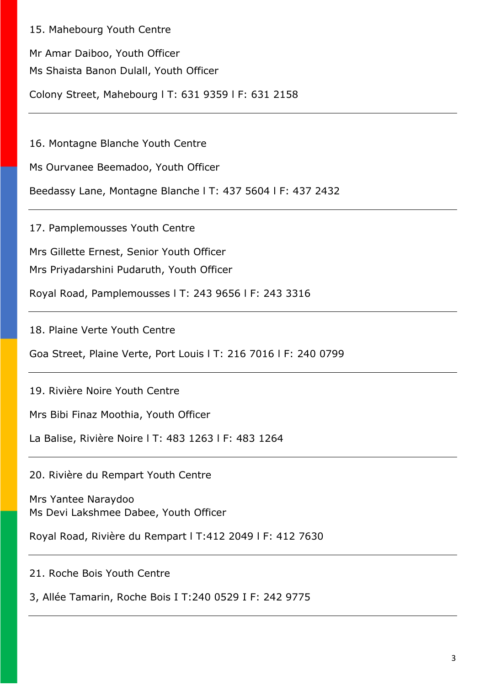15. Mahebourg Youth Centre

Mr Amar Daiboo, Youth Officer

Ms Shaista Banon Dulall, Youth Officer

Colony Street, Mahebourg l T: 631 9359 l F: 631 2158

16. Montagne Blanche Youth Centre

Ms Ourvanee Beemadoo, Youth Officer

Beedassy Lane, Montagne Blanche l T: 437 5604 l F: 437 2432

17. Pamplemousses Youth Centre

Mrs Gillette Ernest, Senior Youth Officer

Mrs Priyadarshini Pudaruth, Youth Officer

Royal Road, Pamplemousses l T: 243 9656 l F: 243 3316

18. Plaine Verte Youth Centre

Goa Street, Plaine Verte, Port Louis l T: 216 7016 l F: 240 0799

19. Rivière Noire Youth Centre

Mrs Bibi Finaz Moothia, Youth Officer

La Balise, Rivière Noire l T: 483 1263 l F: 483 1264

20. Rivière du Rempart Youth Centre

Mrs Yantee Naraydoo Ms Devi Lakshmee Dabee, Youth Officer

Royal Road, Rivière du Rempart l T:412 2049 l F: 412 7630

21. Roche Bois Youth Centre

3, Allée Tamarin, Roche Bois Ι T:240 0529 Ι F: 242 9775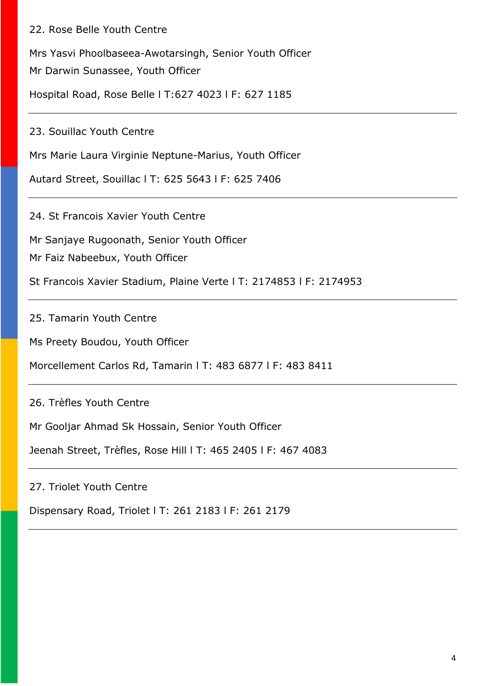## 22. Rose Belle Youth Centre

Mrs Yasvi Phoolbaseea-Awotarsingh, Senior Youth Officer Mr Darwin Sunassee, Youth Officer

Hospital Road, Rose Belle l T:627 4023 l F: 627 1185

23. Souillac Youth Centre

Mrs Marie Laura Virginie Neptune-Marius, Youth Officer

Autard Street, Souillac l T: 625 5643 l F: 625 7406

24. St Francois Xavier Youth Centre

Mr Sanjaye Rugoonath, Senior Youth Officer

Mr Faiz Nabeebux, Youth Officer

St Francois Xavier Stadium, Plaine Verte l T: 2174853 l F: 2174953

25. Tamarin Youth Centre

Ms Preety Boudou, Youth Officer

Morcellement Carlos Rd, Tamarin l T: 483 6877 l F: 483 8411

26. Trèfles Youth Centre

Mr Gooljar Ahmad Sk Hossain, Senior Youth Officer

Jeenah Street, Trèfles, Rose Hill l T: 465 2405 l F: 467 4083

27. Triolet Youth Centre

Dispensary Road, Triolet l T: 261 2183 l F: 261 2179